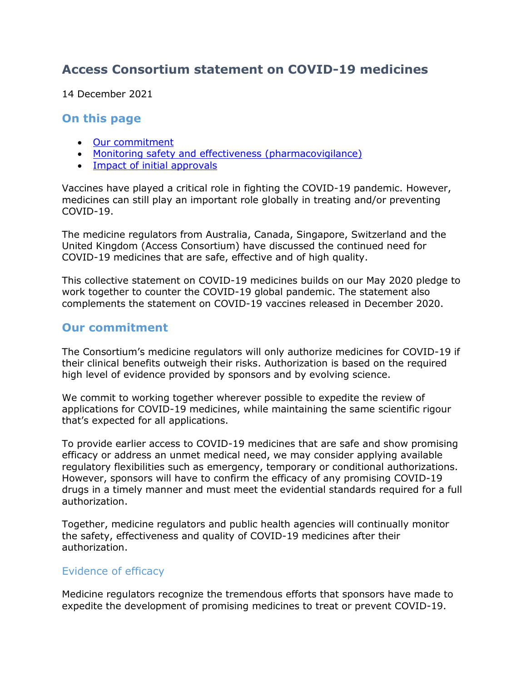# **Access Consortium statement on COVID-19 medicines**

14 December 2021

#### **On this page**

- [Our commitment](#page-0-0)
- [Monitoring safety and effectiveness \(pharmacovigilance\)](#page-2-0)
- [Impact of initial approvals](#page-2-1)

Vaccines have played a critical role in fighting the COVID-19 pandemic. However, medicines can still play an important role globally in treating and/or preventing COVID-19.

The medicine regulators from Australia, Canada, Singapore, Switzerland and the United Kingdom (Access Consortium) have discussed the continued need for COVID-19 medicines that are safe, effective and of high quality.

This collective statement on COVID-19 medicines builds on our May 2020 pledge to work together to counter the COVID-19 global pandemic. The statement also complements the statement on COVID-19 vaccines released in December 2020.

### <span id="page-0-0"></span>**Our commitment**

The Consortium's medicine regulators will only authorize medicines for COVID-19 if their clinical benefits outweigh their risks. Authorization is based on the required high level of evidence provided by sponsors and by evolving science.

We commit to working together wherever possible to expedite the review of applications for COVID-19 medicines, while maintaining the same scientific rigour that's expected for all applications.

To provide earlier access to COVID-19 medicines that are safe and show promising efficacy or address an unmet medical need, we may consider applying available regulatory flexibilities such as emergency, temporary or conditional authorizations. However, sponsors will have to confirm the efficacy of any promising COVID-19 drugs in a timely manner and must meet the evidential standards required for a full authorization.

Together, medicine regulators and public health agencies will continually monitor the safety, effectiveness and quality of COVID-19 medicines after their authorization.

#### Evidence of efficacy

Medicine regulators recognize the tremendous efforts that sponsors have made to expedite the development of promising medicines to treat or prevent COVID-19.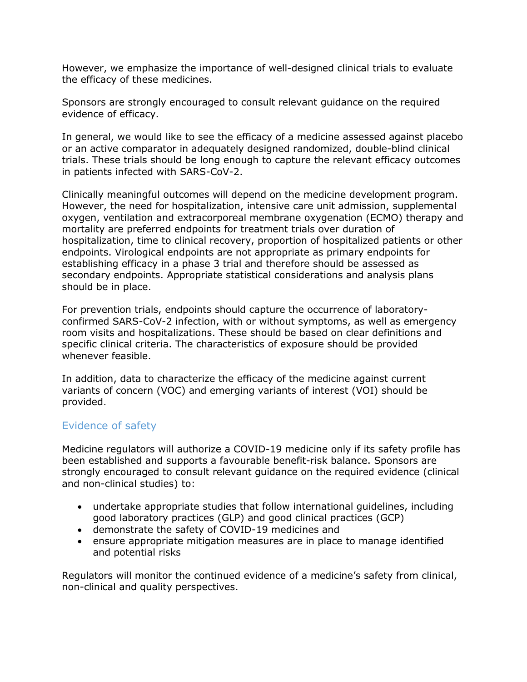However, we emphasize the importance of well-designed clinical trials to evaluate the efficacy of these medicines.

Sponsors are strongly encouraged to consult relevant guidance on the required evidence of efficacy.

In general, we would like to see the efficacy of a medicine assessed against placebo or an active comparator in adequately designed randomized, double-blind clinical trials. These trials should be long enough to capture the relevant efficacy outcomes in patients infected with SARS-CoV-2.

Clinically meaningful outcomes will depend on the medicine development program. However, the need for hospitalization, intensive care unit admission, supplemental oxygen, ventilation and extracorporeal membrane oxygenation (ECMO) therapy and mortality are preferred endpoints for treatment trials over duration of hospitalization, time to clinical recovery, proportion of hospitalized patients or other endpoints. Virological endpoints are not appropriate as primary endpoints for establishing efficacy in a phase 3 trial and therefore should be assessed as secondary endpoints. Appropriate statistical considerations and analysis plans should be in place.

For prevention trials, endpoints should capture the occurrence of laboratoryconfirmed SARS-CoV-2 infection, with or without symptoms, as well as emergency room visits and hospitalizations. These should be based on clear definitions and specific clinical criteria. The characteristics of exposure should be provided whenever feasible.

In addition, data to characterize the efficacy of the medicine against current variants of concern (VOC) and emerging variants of interest (VOI) should be provided.

#### Evidence of safety

Medicine regulators will authorize a COVID-19 medicine only if its safety profile has been established and supports a favourable benefit-risk balance. Sponsors are strongly encouraged to consult relevant guidance on the required evidence (clinical and non-clinical studies) to:

- undertake appropriate studies that follow international guidelines, including good laboratory practices (GLP) and good clinical practices (GCP)
- demonstrate the safety of COVID-19 medicines and
- ensure appropriate mitigation measures are in place to manage identified and potential risks

Regulators will monitor the continued evidence of a medicine's safety from clinical, non-clinical and quality perspectives.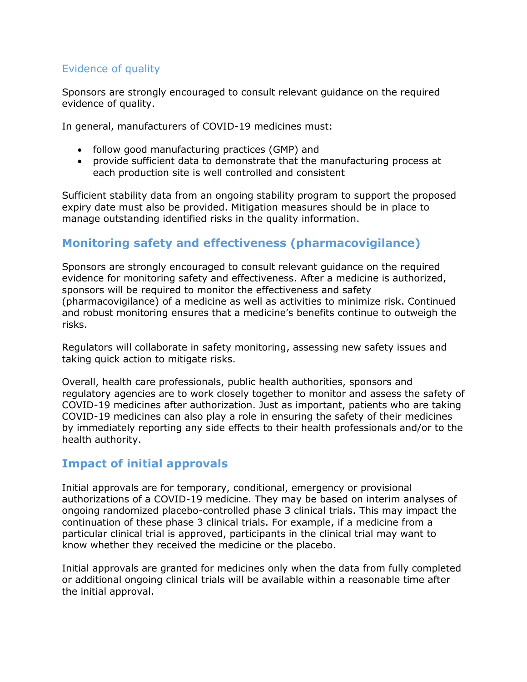## Evidence of quality

Sponsors are strongly encouraged to consult relevant guidance on the required evidence of quality.

In general, manufacturers of COVID-19 medicines must:

- follow good manufacturing practices (GMP) and
- provide sufficient data to demonstrate that the manufacturing process at each production site is well controlled and consistent

Sufficient stability data from an ongoing stability program to support the proposed expiry date must also be provided. Mitigation measures should be in place to manage outstanding identified risks in the quality information.

# <span id="page-2-0"></span>**Monitoring safety and effectiveness (pharmacovigilance)**

Sponsors are strongly encouraged to consult relevant guidance on the required evidence for monitoring safety and effectiveness. After a medicine is authorized, sponsors will be required to monitor the effectiveness and safety (pharmacovigilance) of a medicine as well as activities to minimize risk. Continued and robust monitoring ensures that a medicine's benefits continue to outweigh the risks.

Regulators will collaborate in safety monitoring, assessing new safety issues and taking quick action to mitigate risks.

Overall, health care professionals, public health authorities, sponsors and regulatory agencies are to work closely together to monitor and assess the safety of COVID-19 medicines after authorization. Just as important, patients who are taking COVID-19 medicines can also play a role in ensuring the safety of their medicines by immediately reporting any side effects to their health professionals and/or to the health authority.

## <span id="page-2-1"></span>**Impact of initial approvals**

Initial approvals are for temporary, conditional, emergency or provisional authorizations of a COVID-19 medicine. They may be based on interim analyses of ongoing randomized placebo-controlled phase 3 clinical trials. This may impact the continuation of these phase 3 clinical trials. For example, if a medicine from a particular clinical trial is approved, participants in the clinical trial may want to know whether they received the medicine or the placebo.

Initial approvals are granted for medicines only when the data from fully completed or additional ongoing clinical trials will be available within a reasonable time after the initial approval.